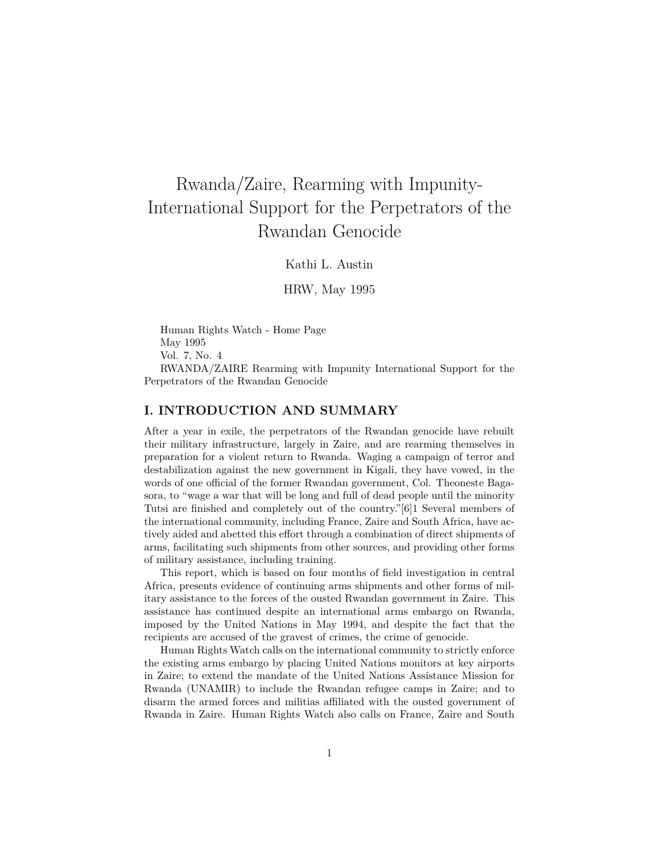# Rwanda/Zaire, Rearming with Impunity-International Support for the Perpetrators of the Rwandan Genocide

Kathi L. Austin

HRW, May 1995

Human Rights Watch - Home Page May 1995 Vol. 7, No. 4 RWANDA/ZAIRE Rearming with Impunity International Support for the Perpetrators of the Rwandan Genocide

## **I. INTRODUCTION AND SUMMARY**

After a year in exile, the perpetrators of the Rwandan genocide have rebuilt their military infrastructure, largely in Zaire, and are rearming themselves in preparation for a violent return to Rwanda. Waging a campaign of terror and destabilization against the new government in Kigali, they have vowed, in the words of one official of the former Rwandan government, Col. Theoneste Bagasora, to "wage a war that will be long and full of dead people until the minority Tutsi are finished and completely out of the country."[6]1 Several members of the international community, including France, Zaire and South Africa, have actively aided and abetted this effort through a combination of direct shipments of arms, facilitating such shipments from other sources, and providing other forms of military assistance, including training.

This report, which is based on four months of field investigation in central Africa, presents evidence of continuing arms shipments and other forms of military assistance to the forces of the ousted Rwandan government in Zaire. This assistance has continued despite an international arms embargo on Rwanda, imposed by the United Nations in May 1994, and despite the fact that the recipients are accused of the gravest of crimes, the crime of genocide.

Human Rights Watch calls on the international community to strictly enforce the existing arms embargo by placing United Nations monitors at key airports in Zaire; to extend the mandate of the United Nations Assistance Mission for Rwanda (UNAMIR) to include the Rwandan refugee camps in Zaire; and to disarm the armed forces and militias affiliated with the ousted government of Rwanda in Zaire. Human Rights Watch also calls on France, Zaire and South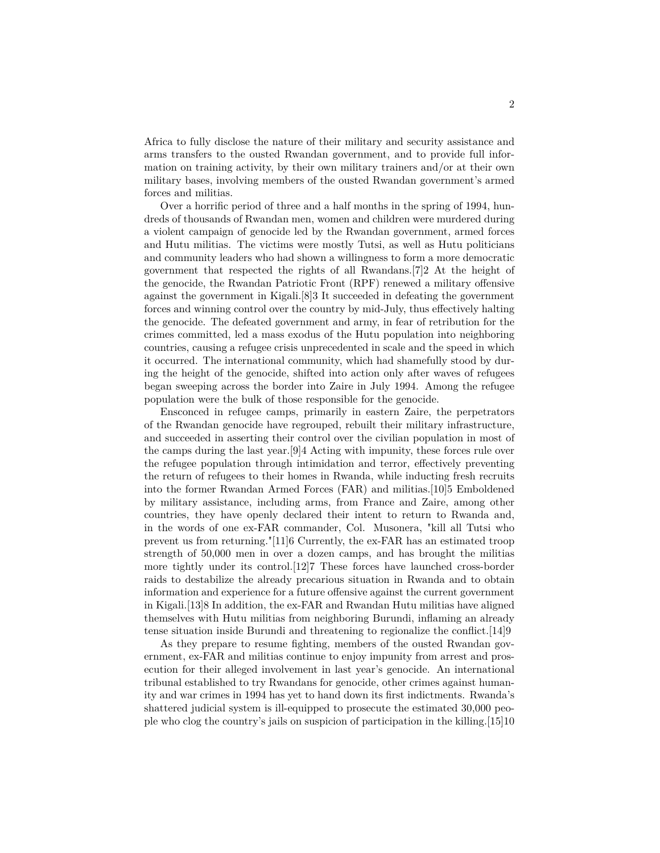Africa to fully disclose the nature of their military and security assistance and arms transfers to the ousted Rwandan government, and to provide full information on training activity, by their own military trainers and/or at their own military bases, involving members of the ousted Rwandan government's armed forces and militias.

Over a horrific period of three and a half months in the spring of 1994, hundreds of thousands of Rwandan men, women and children were murdered during a violent campaign of genocide led by the Rwandan government, armed forces and Hutu militias. The victims were mostly Tutsi, as well as Hutu politicians and community leaders who had shown a willingness to form a more democratic government that respected the rights of all Rwandans.[7]2 At the height of the genocide, the Rwandan Patriotic Front (RPF) renewed a military offensive against the government in Kigali.[8]3 It succeeded in defeating the government forces and winning control over the country by mid-July, thus effectively halting the genocide. The defeated government and army, in fear of retribution for the crimes committed, led a mass exodus of the Hutu population into neighboring countries, causing a refugee crisis unprecedented in scale and the speed in which it occurred. The international community, which had shamefully stood by during the height of the genocide, shifted into action only after waves of refugees began sweeping across the border into Zaire in July 1994. Among the refugee population were the bulk of those responsible for the genocide.

Ensconced in refugee camps, primarily in eastern Zaire, the perpetrators of the Rwandan genocide have regrouped, rebuilt their military infrastructure, and succeeded in asserting their control over the civilian population in most of the camps during the last year.[9]4 Acting with impunity, these forces rule over the refugee population through intimidation and terror, effectively preventing the return of refugees to their homes in Rwanda, while inducting fresh recruits into the former Rwandan Armed Forces (FAR) and militias.[10]5 Emboldened by military assistance, including arms, from France and Zaire, among other countries, they have openly declared their intent to return to Rwanda and, in the words of one ex-FAR commander, Col. Musonera, "kill all Tutsi who prevent us from returning."[11]6 Currently, the ex-FAR has an estimated troop strength of 50,000 men in over a dozen camps, and has brought the militias more tightly under its control.[12]7 These forces have launched cross-border raids to destabilize the already precarious situation in Rwanda and to obtain information and experience for a future offensive against the current government in Kigali.[13]8 In addition, the ex-FAR and Rwandan Hutu militias have aligned themselves with Hutu militias from neighboring Burundi, inflaming an already tense situation inside Burundi and threatening to regionalize the conflict.[14]9

As they prepare to resume fighting, members of the ousted Rwandan government, ex-FAR and militias continue to enjoy impunity from arrest and prosecution for their alleged involvement in last year's genocide. An international tribunal established to try Rwandans for genocide, other crimes against humanity and war crimes in 1994 has yet to hand down its first indictments. Rwanda's shattered judicial system is ill-equipped to prosecute the estimated 30,000 people who clog the country's jails on suspicion of participation in the killing.[15]10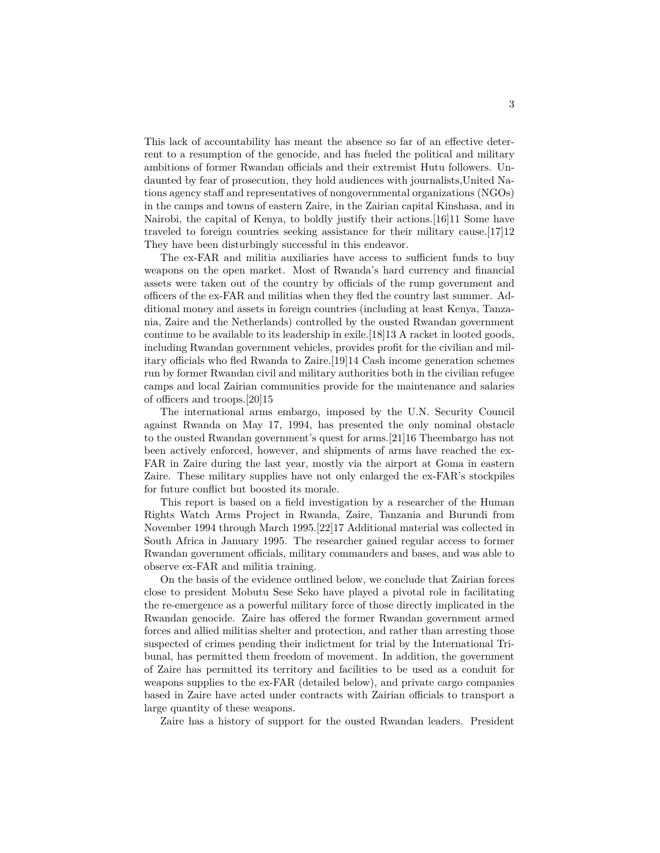This lack of accountability has meant the absence so far of an effective deterrent to a resumption of the genocide, and has fueled the political and military ambitions of former Rwandan officials and their extremist Hutu followers. Undaunted by fear of prosecution, they hold audiences with journalists,United Nations agency staff and representatives of nongovernmental organizations (NGOs) in the camps and towns of eastern Zaire, in the Zairian capital Kinshasa, and in Nairobi, the capital of Kenya, to boldly justify their actions.[16]11 Some have traveled to foreign countries seeking assistance for their military cause.[17]12 They have been disturbingly successful in this endeavor.

The ex-FAR and militia auxiliaries have access to sufficient funds to buy weapons on the open market. Most of Rwanda's hard currency and financial assets were taken out of the country by officials of the rump government and officers of the ex-FAR and militias when they fled the country last summer. Additional money and assets in foreign countries (including at least Kenya, Tanzania, Zaire and the Netherlands) controlled by the ousted Rwandan government continue to be available to its leadership in exile.[18]13 A racket in looted goods, including Rwandan government vehicles, provides profit for the civilian and military officials who fled Rwanda to Zaire.[19]14 Cash income generation schemes run by former Rwandan civil and military authorities both in the civilian refugee camps and local Zairian communities provide for the maintenance and salaries of officers and troops.[20]15

The international arms embargo, imposed by the U.N. Security Council against Rwanda on May 17, 1994, has presented the only nominal obstacle to the ousted Rwandan government's quest for arms.[21]16 Theembargo has not been actively enforced, however, and shipments of arms have reached the ex-FAR in Zaire during the last year, mostly via the airport at Goma in eastern Zaire. These military supplies have not only enlarged the ex-FAR's stockpiles for future conflict but boosted its morale.

This report is based on a field investigation by a researcher of the Human Rights Watch Arms Project in Rwanda, Zaire, Tanzania and Burundi from November 1994 through March 1995.[22]17 Additional material was collected in South Africa in January 1995. The researcher gained regular access to former Rwandan government officials, military commanders and bases, and was able to observe ex-FAR and militia training.

On the basis of the evidence outlined below, we conclude that Zairian forces close to president Mobutu Sese Seko have played a pivotal role in facilitating the re-emergence as a powerful military force of those directly implicated in the Rwandan genocide. Zaire has offered the former Rwandan government armed forces and allied militias shelter and protection, and rather than arresting those suspected of crimes pending their indictment for trial by the International Tribunal, has permitted them freedom of movement. In addition, the government of Zaire has permitted its territory and facilities to be used as a conduit for weapons supplies to the ex-FAR (detailed below), and private cargo companies based in Zaire have acted under contracts with Zairian officials to transport a large quantity of these weapons.

Zaire has a history of support for the ousted Rwandan leaders. President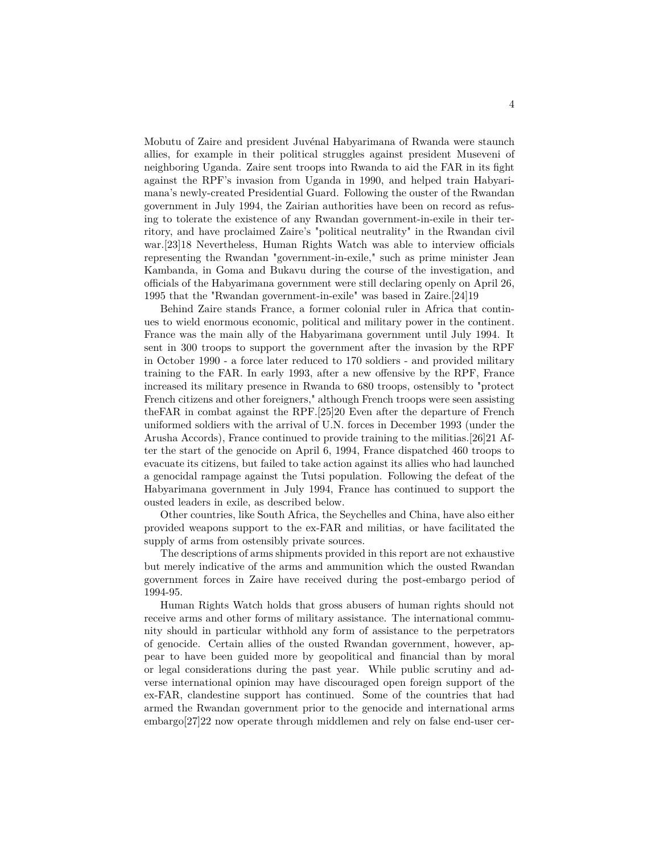Mobutu of Zaire and president Juvénal Habyarimana of Rwanda were staunch allies, for example in their political struggles against president Museveni of neighboring Uganda. Zaire sent troops into Rwanda to aid the FAR in its fight against the RPF's invasion from Uganda in 1990, and helped train Habyarimana's newly-created Presidential Guard. Following the ouster of the Rwandan government in July 1994, the Zairian authorities have been on record as refusing to tolerate the existence of any Rwandan government-in-exile in their territory, and have proclaimed Zaire's "political neutrality" in the Rwandan civil war.[23]18 Nevertheless, Human Rights Watch was able to interview officials representing the Rwandan "government-in-exile," such as prime minister Jean Kambanda, in Goma and Bukavu during the course of the investigation, and officials of the Habyarimana government were still declaring openly on April 26, 1995 that the "Rwandan government-in-exile" was based in Zaire.[24]19

Behind Zaire stands France, a former colonial ruler in Africa that continues to wield enormous economic, political and military power in the continent. France was the main ally of the Habyarimana government until July 1994. It sent in 300 troops to support the government after the invasion by the RPF in October 1990 - a force later reduced to 170 soldiers - and provided military training to the FAR. In early 1993, after a new offensive by the RPF, France increased its military presence in Rwanda to 680 troops, ostensibly to "protect French citizens and other foreigners," although French troops were seen assisting theFAR in combat against the RPF.[25]20 Even after the departure of French uniformed soldiers with the arrival of U.N. forces in December 1993 (under the Arusha Accords), France continued to provide training to the militias.[26]21 After the start of the genocide on April 6, 1994, France dispatched 460 troops to evacuate its citizens, but failed to take action against its allies who had launched a genocidal rampage against the Tutsi population. Following the defeat of the Habyarimana government in July 1994, France has continued to support the ousted leaders in exile, as described below.

Other countries, like South Africa, the Seychelles and China, have also either provided weapons support to the ex-FAR and militias, or have facilitated the supply of arms from ostensibly private sources.

The descriptions of arms shipments provided in this report are not exhaustive but merely indicative of the arms and ammunition which the ousted Rwandan government forces in Zaire have received during the post-embargo period of 1994-95.

Human Rights Watch holds that gross abusers of human rights should not receive arms and other forms of military assistance. The international community should in particular withhold any form of assistance to the perpetrators of genocide. Certain allies of the ousted Rwandan government, however, appear to have been guided more by geopolitical and financial than by moral or legal considerations during the past year. While public scrutiny and adverse international opinion may have discouraged open foreign support of the ex-FAR, clandestine support has continued. Some of the countries that had armed the Rwandan government prior to the genocide and international arms embargo[27]22 now operate through middlemen and rely on false end-user cer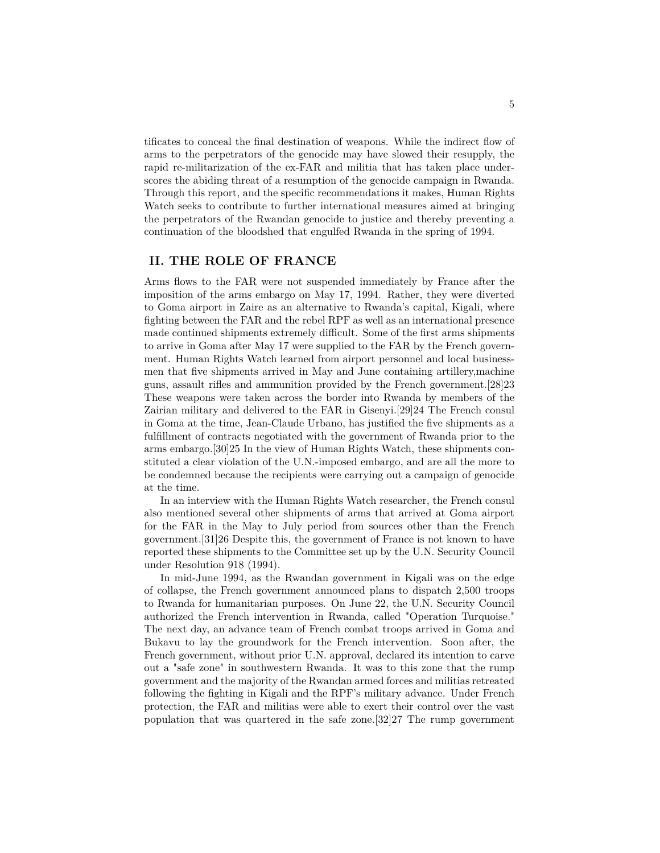tificates to conceal the final destination of weapons. While the indirect flow of arms to the perpetrators of the genocide may have slowed their resupply, the rapid re-militarization of the ex-FAR and militia that has taken place underscores the abiding threat of a resumption of the genocide campaign in Rwanda. Through this report, and the specific recommendations it makes, Human Rights Watch seeks to contribute to further international measures aimed at bringing the perpetrators of the Rwandan genocide to justice and thereby preventing a continuation of the bloodshed that engulfed Rwanda in the spring of 1994.

## **II. THE ROLE OF FRANCE**

Arms flows to the FAR were not suspended immediately by France after the imposition of the arms embargo on May 17, 1994. Rather, they were diverted to Goma airport in Zaire as an alternative to Rwanda's capital, Kigali, where fighting between the FAR and the rebel RPF as well as an international presence made continued shipments extremely difficult. Some of the first arms shipments to arrive in Goma after May 17 were supplied to the FAR by the French government. Human Rights Watch learned from airport personnel and local businessmen that five shipments arrived in May and June containing artillery,machine guns, assault rifles and ammunition provided by the French government.[28]23 These weapons were taken across the border into Rwanda by members of the Zairian military and delivered to the FAR in Gisenyi.[29]24 The French consul in Goma at the time, Jean-Claude Urbano, has justified the five shipments as a fulfillment of contracts negotiated with the government of Rwanda prior to the arms embargo.[30]25 In the view of Human Rights Watch, these shipments constituted a clear violation of the U.N.-imposed embargo, and are all the more to be condemned because the recipients were carrying out a campaign of genocide at the time.

In an interview with the Human Rights Watch researcher, the French consul also mentioned several other shipments of arms that arrived at Goma airport for the FAR in the May to July period from sources other than the French government.[31]26 Despite this, the government of France is not known to have reported these shipments to the Committee set up by the U.N. Security Council under Resolution 918 (1994).

In mid-June 1994, as the Rwandan government in Kigali was on the edge of collapse, the French government announced plans to dispatch 2,500 troops to Rwanda for humanitarian purposes. On June 22, the U.N. Security Council authorized the French intervention in Rwanda, called "Operation Turquoise." The next day, an advance team of French combat troops arrived in Goma and Bukavu to lay the groundwork for the French intervention. Soon after, the French government, without prior U.N. approval, declared its intention to carve out a "safe zone" in southwestern Rwanda. It was to this zone that the rump government and the majority of the Rwandan armed forces and militias retreated following the fighting in Kigali and the RPF's military advance. Under French protection, the FAR and militias were able to exert their control over the vast population that was quartered in the safe zone.[32]27 The rump government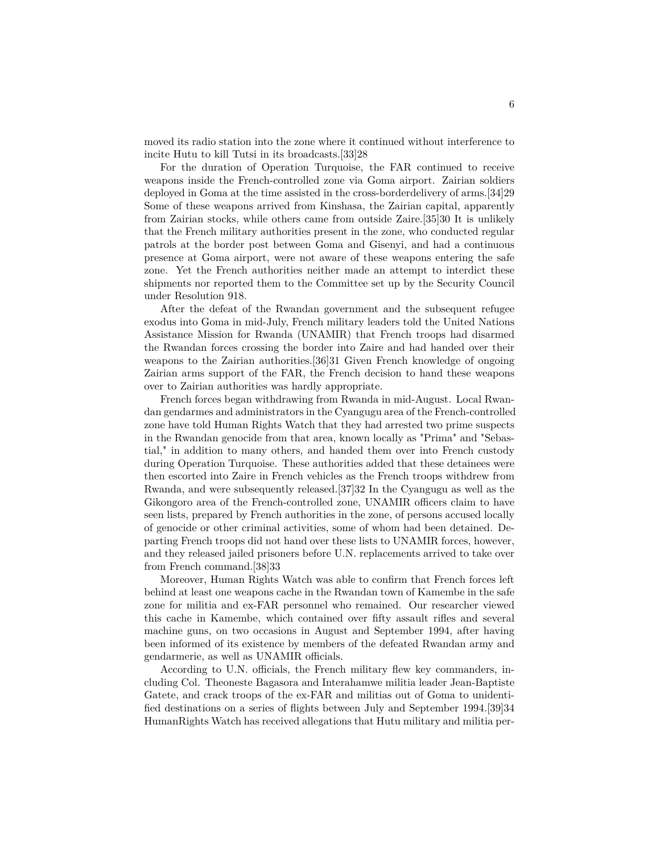moved its radio station into the zone where it continued without interference to incite Hutu to kill Tutsi in its broadcasts.[33]28

For the duration of Operation Turquoise, the FAR continued to receive weapons inside the French-controlled zone via Goma airport. Zairian soldiers deployed in Goma at the time assisted in the cross-borderdelivery of arms.[34]29 Some of these weapons arrived from Kinshasa, the Zairian capital, apparently from Zairian stocks, while others came from outside Zaire.[35]30 It is unlikely that the French military authorities present in the zone, who conducted regular patrols at the border post between Goma and Gisenyi, and had a continuous presence at Goma airport, were not aware of these weapons entering the safe zone. Yet the French authorities neither made an attempt to interdict these shipments nor reported them to the Committee set up by the Security Council under Resolution 918.

After the defeat of the Rwandan government and the subsequent refugee exodus into Goma in mid-July, French military leaders told the United Nations Assistance Mission for Rwanda (UNAMIR) that French troops had disarmed the Rwandan forces crossing the border into Zaire and had handed over their weapons to the Zairian authorities.[36]31 Given French knowledge of ongoing Zairian arms support of the FAR, the French decision to hand these weapons over to Zairian authorities was hardly appropriate.

French forces began withdrawing from Rwanda in mid-August. Local Rwandan gendarmes and administrators in the Cyangugu area of the French-controlled zone have told Human Rights Watch that they had arrested two prime suspects in the Rwandan genocide from that area, known locally as "Prima" and "Sebastial," in addition to many others, and handed them over into French custody during Operation Turquoise. These authorities added that these detainees were then escorted into Zaire in French vehicles as the French troops withdrew from Rwanda, and were subsequently released.[37]32 In the Cyangugu as well as the Gikongoro area of the French-controlled zone, UNAMIR officers claim to have seen lists, prepared by French authorities in the zone, of persons accused locally of genocide or other criminal activities, some of whom had been detained. Departing French troops did not hand over these lists to UNAMIR forces, however, and they released jailed prisoners before U.N. replacements arrived to take over from French command.[38]33

Moreover, Human Rights Watch was able to confirm that French forces left behind at least one weapons cache in the Rwandan town of Kamembe in the safe zone for militia and ex-FAR personnel who remained. Our researcher viewed this cache in Kamembe, which contained over fifty assault rifles and several machine guns, on two occasions in August and September 1994, after having been informed of its existence by members of the defeated Rwandan army and gendarmerie, as well as UNAMIR officials.

According to U.N. officials, the French military flew key commanders, including Col. Theoneste Bagasora and Interahamwe militia leader Jean-Baptiste Gatete, and crack troops of the ex-FAR and militias out of Goma to unidentified destinations on a series of flights between July and September 1994.[39]34 HumanRights Watch has received allegations that Hutu military and militia per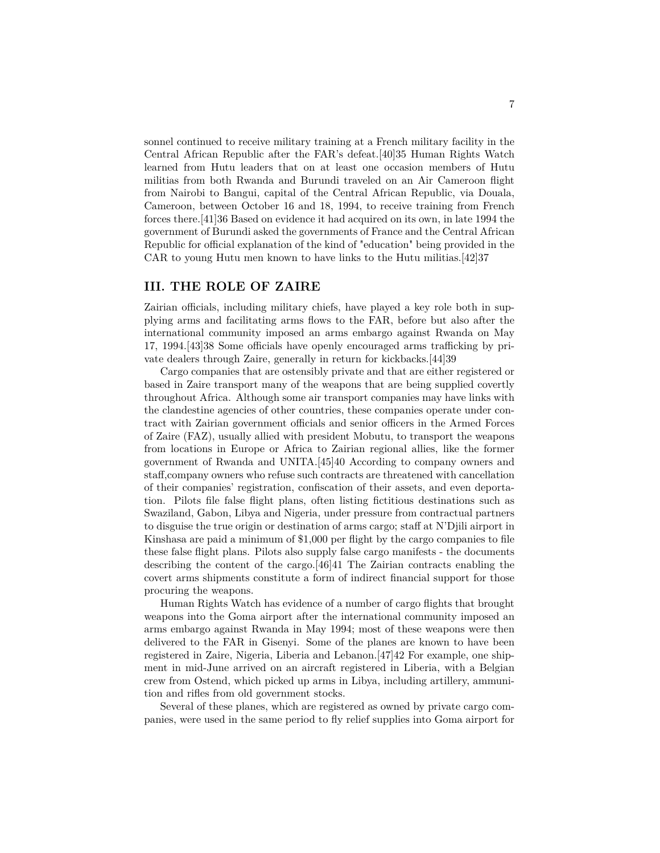sonnel continued to receive military training at a French military facility in the Central African Republic after the FAR's defeat.[40]35 Human Rights Watch learned from Hutu leaders that on at least one occasion members of Hutu militias from both Rwanda and Burundi traveled on an Air Cameroon flight from Nairobi to Bangui, capital of the Central African Republic, via Douala, Cameroon, between October 16 and 18, 1994, to receive training from French forces there.[41]36 Based on evidence it had acquired on its own, in late 1994 the government of Burundi asked the governments of France and the Central African Republic for official explanation of the kind of "education" being provided in the CAR to young Hutu men known to have links to the Hutu militias.[42]37

### **III. THE ROLE OF ZAIRE**

Zairian officials, including military chiefs, have played a key role both in supplying arms and facilitating arms flows to the FAR, before but also after the international community imposed an arms embargo against Rwanda on May 17, 1994.[43]38 Some officials have openly encouraged arms trafficking by private dealers through Zaire, generally in return for kickbacks.[44]39

Cargo companies that are ostensibly private and that are either registered or based in Zaire transport many of the weapons that are being supplied covertly throughout Africa. Although some air transport companies may have links with the clandestine agencies of other countries, these companies operate under contract with Zairian government officials and senior officers in the Armed Forces of Zaire (FAZ), usually allied with president Mobutu, to transport the weapons from locations in Europe or Africa to Zairian regional allies, like the former government of Rwanda and UNITA.[45]40 According to company owners and staff,company owners who refuse such contracts are threatened with cancellation of their companies' registration, confiscation of their assets, and even deportation. Pilots file false flight plans, often listing fictitious destinations such as Swaziland, Gabon, Libya and Nigeria, under pressure from contractual partners to disguise the true origin or destination of arms cargo; staff at N'Djili airport in Kinshasa are paid a minimum of \$1,000 per flight by the cargo companies to file these false flight plans. Pilots also supply false cargo manifests - the documents describing the content of the cargo.[46]41 The Zairian contracts enabling the covert arms shipments constitute a form of indirect financial support for those procuring the weapons.

Human Rights Watch has evidence of a number of cargo flights that brought weapons into the Goma airport after the international community imposed an arms embargo against Rwanda in May 1994; most of these weapons were then delivered to the FAR in Gisenyi. Some of the planes are known to have been registered in Zaire, Nigeria, Liberia and Lebanon.[47]42 For example, one shipment in mid-June arrived on an aircraft registered in Liberia, with a Belgian crew from Ostend, which picked up arms in Libya, including artillery, ammunition and rifles from old government stocks.

Several of these planes, which are registered as owned by private cargo companies, were used in the same period to fly relief supplies into Goma airport for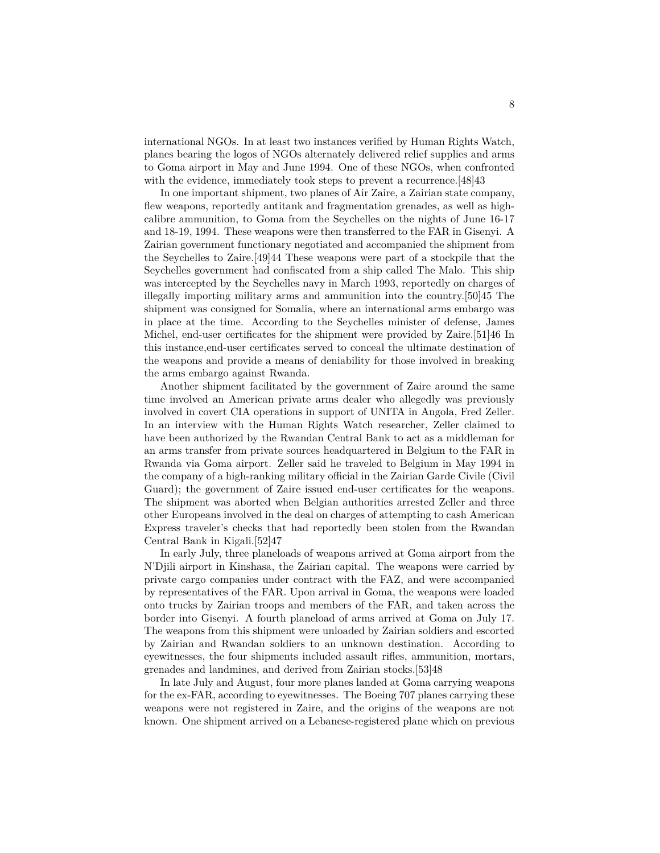international NGOs. In at least two instances verified by Human Rights Watch, planes bearing the logos of NGOs alternately delivered relief supplies and arms to Goma airport in May and June 1994. One of these NGOs, when confronted with the evidence, immediately took steps to prevent a recurrence. [48] 43

In one important shipment, two planes of Air Zaire, a Zairian state company, flew weapons, reportedly antitank and fragmentation grenades, as well as highcalibre ammunition, to Goma from the Seychelles on the nights of June 16-17 and 18-19, 1994. These weapons were then transferred to the FAR in Gisenyi. A Zairian government functionary negotiated and accompanied the shipment from the Seychelles to Zaire.[49]44 These weapons were part of a stockpile that the Seychelles government had confiscated from a ship called The Malo. This ship was intercepted by the Seychelles navy in March 1993, reportedly on charges of illegally importing military arms and ammunition into the country.[50]45 The shipment was consigned for Somalia, where an international arms embargo was in place at the time. According to the Seychelles minister of defense, James Michel, end-user certificates for the shipment were provided by Zaire.[51]46 In this instance,end-user certificates served to conceal the ultimate destination of the weapons and provide a means of deniability for those involved in breaking the arms embargo against Rwanda.

Another shipment facilitated by the government of Zaire around the same time involved an American private arms dealer who allegedly was previously involved in covert CIA operations in support of UNITA in Angola, Fred Zeller. In an interview with the Human Rights Watch researcher, Zeller claimed to have been authorized by the Rwandan Central Bank to act as a middleman for an arms transfer from private sources headquartered in Belgium to the FAR in Rwanda via Goma airport. Zeller said he traveled to Belgium in May 1994 in the company of a high-ranking military official in the Zairian Garde Civile (Civil Guard); the government of Zaire issued end-user certificates for the weapons. The shipment was aborted when Belgian authorities arrested Zeller and three other Europeans involved in the deal on charges of attempting to cash American Express traveler's checks that had reportedly been stolen from the Rwandan Central Bank in Kigali.[52]47

In early July, three planeloads of weapons arrived at Goma airport from the N'Djili airport in Kinshasa, the Zairian capital. The weapons were carried by private cargo companies under contract with the FAZ, and were accompanied by representatives of the FAR. Upon arrival in Goma, the weapons were loaded onto trucks by Zairian troops and members of the FAR, and taken across the border into Gisenyi. A fourth planeload of arms arrived at Goma on July 17. The weapons from this shipment were unloaded by Zairian soldiers and escorted by Zairian and Rwandan soldiers to an unknown destination. According to eyewitnesses, the four shipments included assault rifles, ammunition, mortars, grenades and landmines, and derived from Zairian stocks.[53]48

In late July and August, four more planes landed at Goma carrying weapons for the ex-FAR, according to eyewitnesses. The Boeing 707 planes carrying these weapons were not registered in Zaire, and the origins of the weapons are not known. One shipment arrived on a Lebanese-registered plane which on previous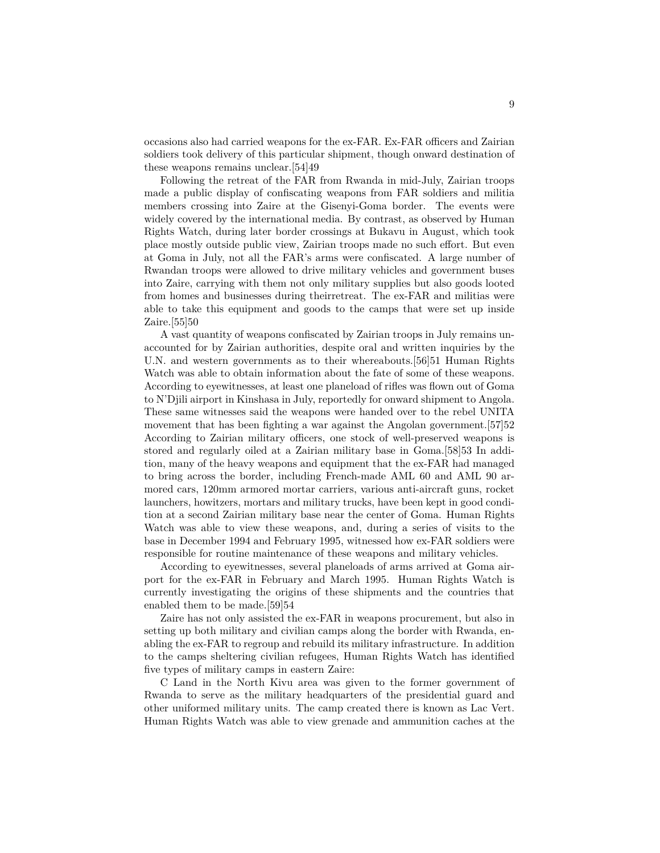occasions also had carried weapons for the ex-FAR. Ex-FAR officers and Zairian soldiers took delivery of this particular shipment, though onward destination of these weapons remains unclear.[54]49

Following the retreat of the FAR from Rwanda in mid-July, Zairian troops made a public display of confiscating weapons from FAR soldiers and militia members crossing into Zaire at the Gisenyi-Goma border. The events were widely covered by the international media. By contrast, as observed by Human Rights Watch, during later border crossings at Bukavu in August, which took place mostly outside public view, Zairian troops made no such effort. But even at Goma in July, not all the FAR's arms were confiscated. A large number of Rwandan troops were allowed to drive military vehicles and government buses into Zaire, carrying with them not only military supplies but also goods looted from homes and businesses during theirretreat. The ex-FAR and militias were able to take this equipment and goods to the camps that were set up inside Zaire.[55]50

A vast quantity of weapons confiscated by Zairian troops in July remains unaccounted for by Zairian authorities, despite oral and written inquiries by the U.N. and western governments as to their whereabouts.[56]51 Human Rights Watch was able to obtain information about the fate of some of these weapons. According to eyewitnesses, at least one planeload of rifles was flown out of Goma to N'Djili airport in Kinshasa in July, reportedly for onward shipment to Angola. These same witnesses said the weapons were handed over to the rebel UNITA movement that has been fighting a war against the Angolan government.<sup>[57]</sup><sup>52</sup> According to Zairian military officers, one stock of well-preserved weapons is stored and regularly oiled at a Zairian military base in Goma.[58]53 In addition, many of the heavy weapons and equipment that the ex-FAR had managed to bring across the border, including French-made AML 60 and AML 90 armored cars, 120mm armored mortar carriers, various anti-aircraft guns, rocket launchers, howitzers, mortars and military trucks, have been kept in good condition at a second Zairian military base near the center of Goma. Human Rights Watch was able to view these weapons, and, during a series of visits to the base in December 1994 and February 1995, witnessed how ex-FAR soldiers were responsible for routine maintenance of these weapons and military vehicles.

According to eyewitnesses, several planeloads of arms arrived at Goma airport for the ex-FAR in February and March 1995. Human Rights Watch is currently investigating the origins of these shipments and the countries that enabled them to be made.[59]54

Zaire has not only assisted the ex-FAR in weapons procurement, but also in setting up both military and civilian camps along the border with Rwanda, enabling the ex-FAR to regroup and rebuild its military infrastructure. In addition to the camps sheltering civilian refugees, Human Rights Watch has identified five types of military camps in eastern Zaire:

C Land in the North Kivu area was given to the former government of Rwanda to serve as the military headquarters of the presidential guard and other uniformed military units. The camp created there is known as Lac Vert. Human Rights Watch was able to view grenade and ammunition caches at the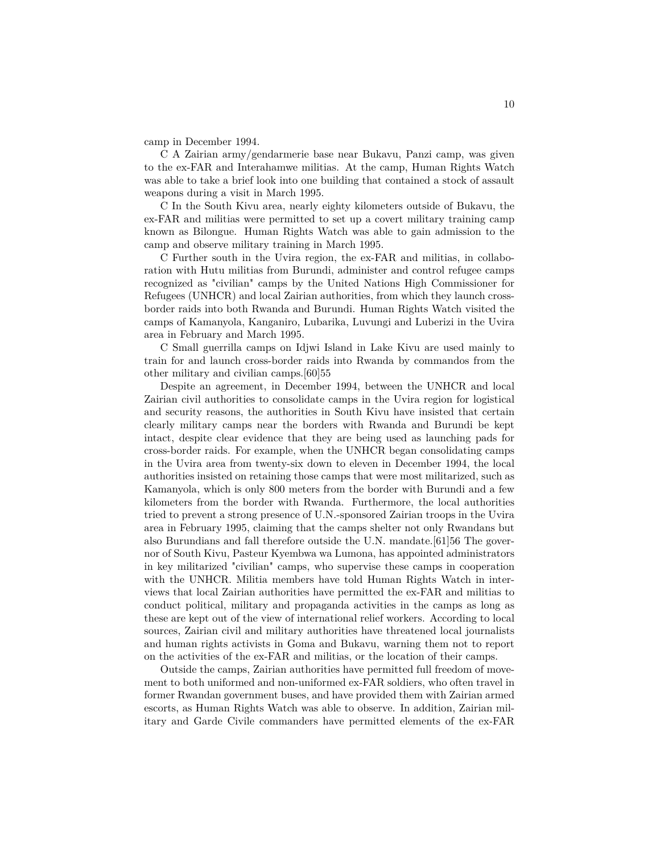camp in December 1994.

C A Zairian army/gendarmerie base near Bukavu, Panzi camp, was given to the ex-FAR and Interahamwe militias. At the camp, Human Rights Watch was able to take a brief look into one building that contained a stock of assault weapons during a visit in March 1995.

C In the South Kivu area, nearly eighty kilometers outside of Bukavu, the ex-FAR and militias were permitted to set up a covert military training camp known as Bilongue. Human Rights Watch was able to gain admission to the camp and observe military training in March 1995.

C Further south in the Uvira region, the ex-FAR and militias, in collaboration with Hutu militias from Burundi, administer and control refugee camps recognized as "civilian" camps by the United Nations High Commissioner for Refugees (UNHCR) and local Zairian authorities, from which they launch crossborder raids into both Rwanda and Burundi. Human Rights Watch visited the camps of Kamanyola, Kanganiro, Lubarika, Luvungi and Luberizi in the Uvira area in February and March 1995.

C Small guerrilla camps on Idjwi Island in Lake Kivu are used mainly to train for and launch cross-border raids into Rwanda by commandos from the other military and civilian camps.[60]55

Despite an agreement, in December 1994, between the UNHCR and local Zairian civil authorities to consolidate camps in the Uvira region for logistical and security reasons, the authorities in South Kivu have insisted that certain clearly military camps near the borders with Rwanda and Burundi be kept intact, despite clear evidence that they are being used as launching pads for cross-border raids. For example, when the UNHCR began consolidating camps in the Uvira area from twenty-six down to eleven in December 1994, the local authorities insisted on retaining those camps that were most militarized, such as Kamanyola, which is only 800 meters from the border with Burundi and a few kilometers from the border with Rwanda. Furthermore, the local authorities tried to prevent a strong presence of U.N.-sponsored Zairian troops in the Uvira area in February 1995, claiming that the camps shelter not only Rwandans but also Burundians and fall therefore outside the U.N. mandate.[61]56 The governor of South Kivu, Pasteur Kyembwa wa Lumona, has appointed administrators in key militarized "civilian" camps, who supervise these camps in cooperation with the UNHCR. Militia members have told Human Rights Watch in interviews that local Zairian authorities have permitted the ex-FAR and militias to conduct political, military and propaganda activities in the camps as long as these are kept out of the view of international relief workers. According to local sources, Zairian civil and military authorities have threatened local journalists and human rights activists in Goma and Bukavu, warning them not to report on the activities of the ex-FAR and militias, or the location of their camps.

Outside the camps, Zairian authorities have permitted full freedom of movement to both uniformed and non-uniformed ex-FAR soldiers, who often travel in former Rwandan government buses, and have provided them with Zairian armed escorts, as Human Rights Watch was able to observe. In addition, Zairian military and Garde Civile commanders have permitted elements of the ex-FAR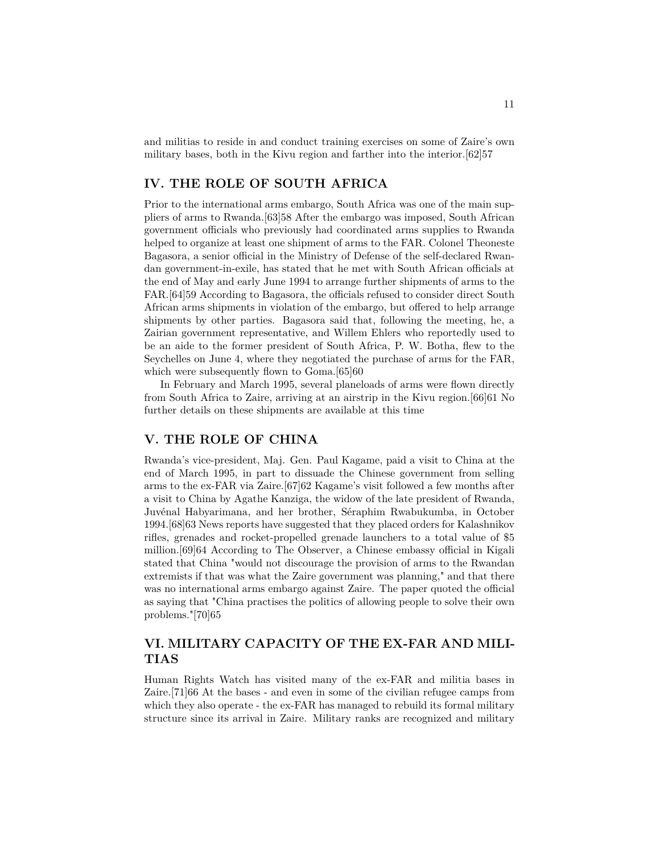and militias to reside in and conduct training exercises on some of Zaire's own military bases, both in the Kivu region and farther into the interior.[62]57

## **IV. THE ROLE OF SOUTH AFRICA**

Prior to the international arms embargo, South Africa was one of the main suppliers of arms to Rwanda.[63]58 After the embargo was imposed, South African government officials who previously had coordinated arms supplies to Rwanda helped to organize at least one shipment of arms to the FAR. Colonel Theoneste Bagasora, a senior official in the Ministry of Defense of the self-declared Rwandan government-in-exile, has stated that he met with South African officials at the end of May and early June 1994 to arrange further shipments of arms to the FAR.[64]59 According to Bagasora, the officials refused to consider direct South African arms shipments in violation of the embargo, but offered to help arrange shipments by other parties. Bagasora said that, following the meeting, he, a Zairian government representative, and Willem Ehlers who reportedly used to be an aide to the former president of South Africa, P. W. Botha, flew to the Seychelles on June 4, where they negotiated the purchase of arms for the FAR, which were subsequently flown to Goma.[65]60

In February and March 1995, several planeloads of arms were flown directly from South Africa to Zaire, arriving at an airstrip in the Kivu region.[66]61 No further details on these shipments are available at this time

### **V. THE ROLE OF CHINA**

Rwanda's vice-president, Maj. Gen. Paul Kagame, paid a visit to China at the end of March 1995, in part to dissuade the Chinese government from selling arms to the ex-FAR via Zaire.[67]62 Kagame's visit followed a few months after a visit to China by Agathe Kanziga, the widow of the late president of Rwanda, Juvénal Habyarimana, and her brother, Séraphim Rwabukumba, in October 1994.[68]63 News reports have suggested that they placed orders for Kalashnikov rifles, grenades and rocket-propelled grenade launchers to a total value of \$5 million.[69]64 According to The Observer, a Chinese embassy official in Kigali stated that China "would not discourage the provision of arms to the Rwandan extremists if that was what the Zaire government was planning," and that there was no international arms embargo against Zaire. The paper quoted the official as saying that "China practises the politics of allowing people to solve their own problems."[70]65

## **VI. MILITARY CAPACITY OF THE EX-FAR AND MILI-TIAS**

Human Rights Watch has visited many of the ex-FAR and militia bases in Zaire.[71]66 At the bases - and even in some of the civilian refugee camps from which they also operate - the ex-FAR has managed to rebuild its formal military structure since its arrival in Zaire. Military ranks are recognized and military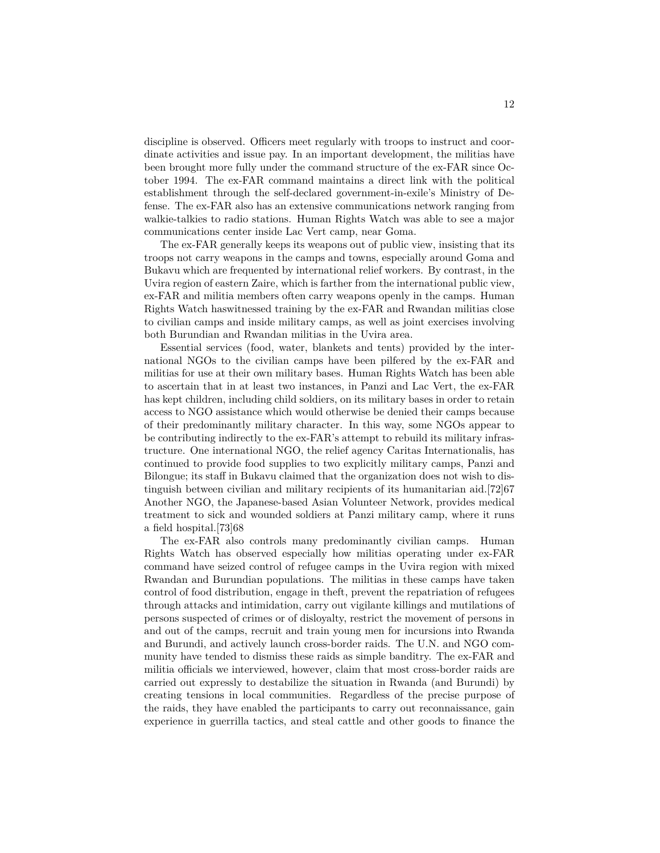discipline is observed. Officers meet regularly with troops to instruct and coordinate activities and issue pay. In an important development, the militias have been brought more fully under the command structure of the ex-FAR since October 1994. The ex-FAR command maintains a direct link with the political establishment through the self-declared government-in-exile's Ministry of Defense. The ex-FAR also has an extensive communications network ranging from walkie-talkies to radio stations. Human Rights Watch was able to see a major communications center inside Lac Vert camp, near Goma.

The ex-FAR generally keeps its weapons out of public view, insisting that its troops not carry weapons in the camps and towns, especially around Goma and Bukavu which are frequented by international relief workers. By contrast, in the Uvira region of eastern Zaire, which is farther from the international public view, ex-FAR and militia members often carry weapons openly in the camps. Human Rights Watch haswitnessed training by the ex-FAR and Rwandan militias close to civilian camps and inside military camps, as well as joint exercises involving both Burundian and Rwandan militias in the Uvira area.

Essential services (food, water, blankets and tents) provided by the international NGOs to the civilian camps have been pilfered by the ex-FAR and militias for use at their own military bases. Human Rights Watch has been able to ascertain that in at least two instances, in Panzi and Lac Vert, the ex-FAR has kept children, including child soldiers, on its military bases in order to retain access to NGO assistance which would otherwise be denied their camps because of their predominantly military character. In this way, some NGOs appear to be contributing indirectly to the ex-FAR's attempt to rebuild its military infrastructure. One international NGO, the relief agency Caritas Internationalis, has continued to provide food supplies to two explicitly military camps, Panzi and Bilongue; its staff in Bukavu claimed that the organization does not wish to distinguish between civilian and military recipients of its humanitarian aid.[72]67 Another NGO, the Japanese-based Asian Volunteer Network, provides medical treatment to sick and wounded soldiers at Panzi military camp, where it runs a field hospital.[73]68

The ex-FAR also controls many predominantly civilian camps. Human Rights Watch has observed especially how militias operating under ex-FAR command have seized control of refugee camps in the Uvira region with mixed Rwandan and Burundian populations. The militias in these camps have taken control of food distribution, engage in theft, prevent the repatriation of refugees through attacks and intimidation, carry out vigilante killings and mutilations of persons suspected of crimes or of disloyalty, restrict the movement of persons in and out of the camps, recruit and train young men for incursions into Rwanda and Burundi, and actively launch cross-border raids. The U.N. and NGO community have tended to dismiss these raids as simple banditry. The ex-FAR and militia officials we interviewed, however, claim that most cross-border raids are carried out expressly to destabilize the situation in Rwanda (and Burundi) by creating tensions in local communities. Regardless of the precise purpose of the raids, they have enabled the participants to carry out reconnaissance, gain experience in guerrilla tactics, and steal cattle and other goods to finance the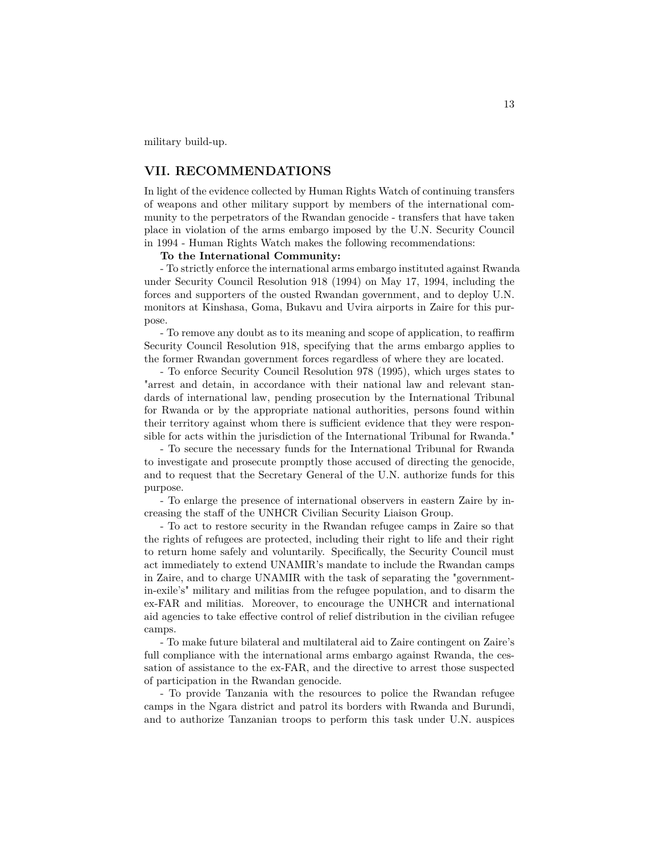military build-up.

## **VII. RECOMMENDATIONS**

In light of the evidence collected by Human Rights Watch of continuing transfers of weapons and other military support by members of the international community to the perpetrators of the Rwandan genocide - transfers that have taken place in violation of the arms embargo imposed by the U.N. Security Council in 1994 - Human Rights Watch makes the following recommendations:

#### **To the International Community:**

- To strictly enforce the international arms embargo instituted against Rwanda under Security Council Resolution 918 (1994) on May 17, 1994, including the forces and supporters of the ousted Rwandan government, and to deploy U.N. monitors at Kinshasa, Goma, Bukavu and Uvira airports in Zaire for this purpose.

- To remove any doubt as to its meaning and scope of application, to reaffirm Security Council Resolution 918, specifying that the arms embargo applies to the former Rwandan government forces regardless of where they are located.

- To enforce Security Council Resolution 978 (1995), which urges states to "arrest and detain, in accordance with their national law and relevant standards of international law, pending prosecution by the International Tribunal for Rwanda or by the appropriate national authorities, persons found within their territory against whom there is sufficient evidence that they were responsible for acts within the jurisdiction of the International Tribunal for Rwanda."

- To secure the necessary funds for the International Tribunal for Rwanda to investigate and prosecute promptly those accused of directing the genocide, and to request that the Secretary General of the U.N. authorize funds for this purpose.

- To enlarge the presence of international observers in eastern Zaire by increasing the staff of the UNHCR Civilian Security Liaison Group.

- To act to restore security in the Rwandan refugee camps in Zaire so that the rights of refugees are protected, including their right to life and their right to return home safely and voluntarily. Specifically, the Security Council must act immediately to extend UNAMIR's mandate to include the Rwandan camps in Zaire, and to charge UNAMIR with the task of separating the "governmentin-exile's" military and militias from the refugee population, and to disarm the ex-FAR and militias. Moreover, to encourage the UNHCR and international aid agencies to take effective control of relief distribution in the civilian refugee camps.

- To make future bilateral and multilateral aid to Zaire contingent on Zaire's full compliance with the international arms embargo against Rwanda, the cessation of assistance to the ex-FAR, and the directive to arrest those suspected of participation in the Rwandan genocide.

- To provide Tanzania with the resources to police the Rwandan refugee camps in the Ngara district and patrol its borders with Rwanda and Burundi, and to authorize Tanzanian troops to perform this task under U.N. auspices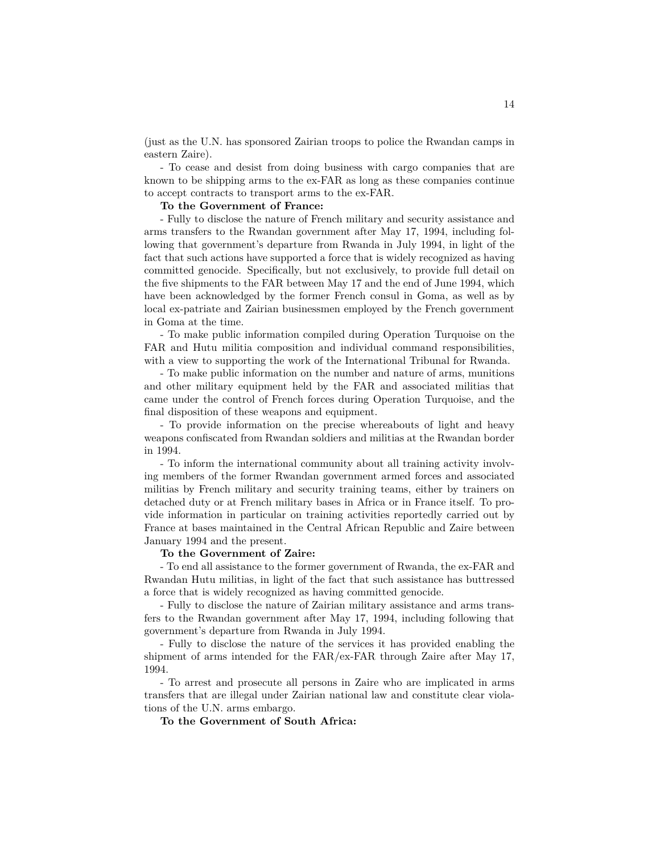(just as the U.N. has sponsored Zairian troops to police the Rwandan camps in eastern Zaire).

- To cease and desist from doing business with cargo companies that are known to be shipping arms to the ex-FAR as long as these companies continue to accept contracts to transport arms to the ex-FAR.

#### **To the Government of France:**

- Fully to disclose the nature of French military and security assistance and arms transfers to the Rwandan government after May 17, 1994, including following that government's departure from Rwanda in July 1994, in light of the fact that such actions have supported a force that is widely recognized as having committed genocide. Specifically, but not exclusively, to provide full detail on the five shipments to the FAR between May 17 and the end of June 1994, which have been acknowledged by the former French consul in Goma, as well as by local ex-patriate and Zairian businessmen employed by the French government in Goma at the time.

- To make public information compiled during Operation Turquoise on the FAR and Hutu militia composition and individual command responsibilities, with a view to supporting the work of the International Tribunal for Rwanda.

- To make public information on the number and nature of arms, munitions and other military equipment held by the FAR and associated militias that came under the control of French forces during Operation Turquoise, and the final disposition of these weapons and equipment.

- To provide information on the precise whereabouts of light and heavy weapons confiscated from Rwandan soldiers and militias at the Rwandan border in 1994.

- To inform the international community about all training activity involving members of the former Rwandan government armed forces and associated militias by French military and security training teams, either by trainers on detached duty or at French military bases in Africa or in France itself. To provide information in particular on training activities reportedly carried out by France at bases maintained in the Central African Republic and Zaire between January 1994 and the present.

#### **To the Government of Zaire:**

- To end all assistance to the former government of Rwanda, the ex-FAR and Rwandan Hutu militias, in light of the fact that such assistance has buttressed a force that is widely recognized as having committed genocide.

- Fully to disclose the nature of Zairian military assistance and arms transfers to the Rwandan government after May 17, 1994, including following that government's departure from Rwanda in July 1994.

- Fully to disclose the nature of the services it has provided enabling the shipment of arms intended for the FAR/ex-FAR through Zaire after May 17, 1994.

- To arrest and prosecute all persons in Zaire who are implicated in arms transfers that are illegal under Zairian national law and constitute clear violations of the U.N. arms embargo.

**To the Government of South Africa:**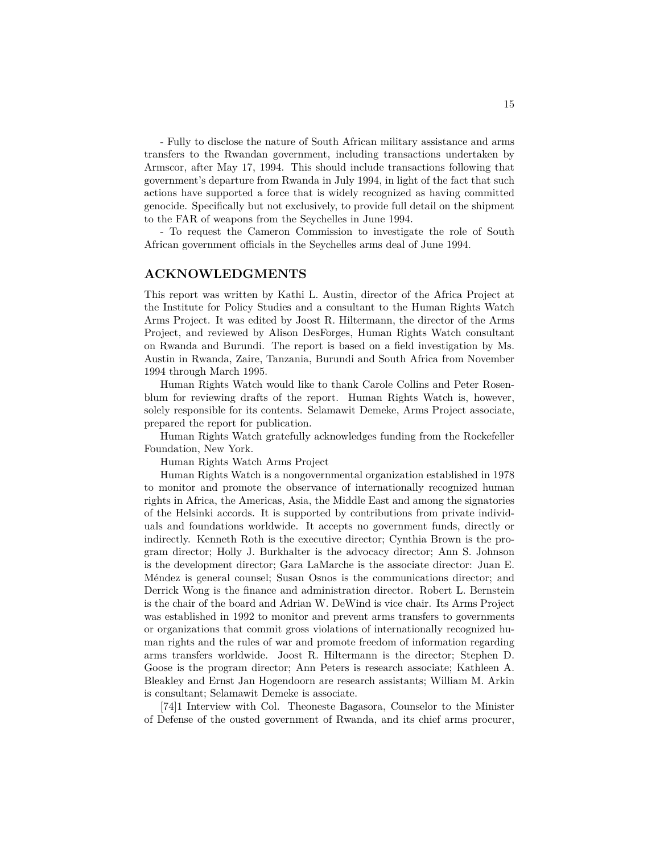- Fully to disclose the nature of South African military assistance and arms transfers to the Rwandan government, including transactions undertaken by Armscor, after May 17, 1994. This should include transactions following that government's departure from Rwanda in July 1994, in light of the fact that such actions have supported a force that is widely recognized as having committed genocide. Specifically but not exclusively, to provide full detail on the shipment to the FAR of weapons from the Seychelles in June 1994.

- To request the Cameron Commission to investigate the role of South African government officials in the Seychelles arms deal of June 1994.

### **ACKNOWLEDGMENTS**

This report was written by Kathi L. Austin, director of the Africa Project at the Institute for Policy Studies and a consultant to the Human Rights Watch Arms Project. It was edited by Joost R. Hiltermann, the director of the Arms Project, and reviewed by Alison DesForges, Human Rights Watch consultant on Rwanda and Burundi. The report is based on a field investigation by Ms. Austin in Rwanda, Zaire, Tanzania, Burundi and South Africa from November 1994 through March 1995.

Human Rights Watch would like to thank Carole Collins and Peter Rosenblum for reviewing drafts of the report. Human Rights Watch is, however, solely responsible for its contents. Selamawit Demeke, Arms Project associate, prepared the report for publication.

Human Rights Watch gratefully acknowledges funding from the Rockefeller Foundation, New York.

Human Rights Watch Arms Project

Human Rights Watch is a nongovernmental organization established in 1978 to monitor and promote the observance of internationally recognized human rights in Africa, the Americas, Asia, the Middle East and among the signatories of the Helsinki accords. It is supported by contributions from private individuals and foundations worldwide. It accepts no government funds, directly or indirectly. Kenneth Roth is the executive director; Cynthia Brown is the program director; Holly J. Burkhalter is the advocacy director; Ann S. Johnson is the development director; Gara LaMarche is the associate director: Juan E. Méndez is general counsel; Susan Osnos is the communications director; and Derrick Wong is the finance and administration director. Robert L. Bernstein is the chair of the board and Adrian W. DeWind is vice chair. Its Arms Project was established in 1992 to monitor and prevent arms transfers to governments or organizations that commit gross violations of internationally recognized human rights and the rules of war and promote freedom of information regarding arms transfers worldwide. Joost R. Hiltermann is the director; Stephen D. Goose is the program director; Ann Peters is research associate; Kathleen A. Bleakley and Ernst Jan Hogendoorn are research assistants; William M. Arkin is consultant; Selamawit Demeke is associate.

[74]1 Interview with Col. Theoneste Bagasora, Counselor to the Minister of Defense of the ousted government of Rwanda, and its chief arms procurer,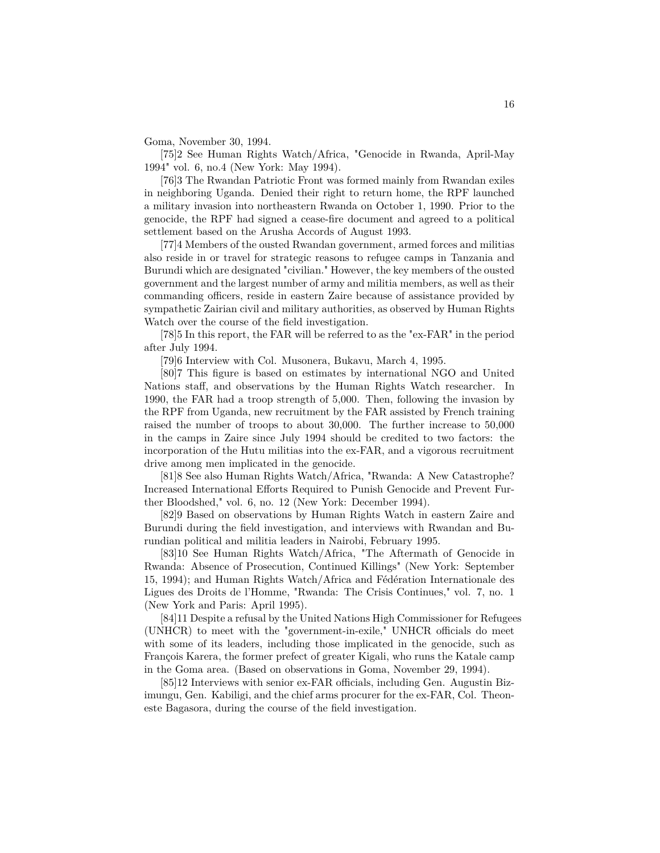Goma, November 30, 1994.

[75]2 See Human Rights Watch/Africa, "Genocide in Rwanda, April-May 1994" vol. 6, no.4 (New York: May 1994).

[76]3 The Rwandan Patriotic Front was formed mainly from Rwandan exiles in neighboring Uganda. Denied their right to return home, the RPF launched a military invasion into northeastern Rwanda on October 1, 1990. Prior to the genocide, the RPF had signed a cease-fire document and agreed to a political settlement based on the Arusha Accords of August 1993.

[77]4 Members of the ousted Rwandan government, armed forces and militias also reside in or travel for strategic reasons to refugee camps in Tanzania and Burundi which are designated "civilian." However, the key members of the ousted government and the largest number of army and militia members, as well as their commanding officers, reside in eastern Zaire because of assistance provided by sympathetic Zairian civil and military authorities, as observed by Human Rights Watch over the course of the field investigation.

[78]5 In this report, the FAR will be referred to as the "ex-FAR" in the period after July 1994.

[79]6 Interview with Col. Musonera, Bukavu, March 4, 1995.

[80]7 This figure is based on estimates by international NGO and United Nations staff, and observations by the Human Rights Watch researcher. In 1990, the FAR had a troop strength of 5,000. Then, following the invasion by the RPF from Uganda, new recruitment by the FAR assisted by French training raised the number of troops to about 30,000. The further increase to 50,000 in the camps in Zaire since July 1994 should be credited to two factors: the incorporation of the Hutu militias into the ex-FAR, and a vigorous recruitment drive among men implicated in the genocide.

[81]8 See also Human Rights Watch/Africa, "Rwanda: A New Catastrophe? Increased International Efforts Required to Punish Genocide and Prevent Further Bloodshed," vol. 6, no. 12 (New York: December 1994).

[82]9 Based on observations by Human Rights Watch in eastern Zaire and Burundi during the field investigation, and interviews with Rwandan and Burundian political and militia leaders in Nairobi, February 1995.

[83]10 See Human Rights Watch/Africa, "The Aftermath of Genocide in Rwanda: Absence of Prosecution, Continued Killings" (New York: September 15, 1994); and Human Rights Watch/Africa and Fédération Internationale des Ligues des Droits de l'Homme, "Rwanda: The Crisis Continues," vol. 7, no. 1 (New York and Paris: April 1995).

[84]11 Despite a refusal by the United Nations High Commissioner for Refugees (UNHCR) to meet with the "government-in-exile," UNHCR officials do meet with some of its leaders, including those implicated in the genocide, such as François Karera, the former prefect of greater Kigali, who runs the Katale camp in the Goma area. (Based on observations in Goma, November 29, 1994).

[85]12 Interviews with senior ex-FAR officials, including Gen. Augustin Bizimungu, Gen. Kabiligi, and the chief arms procurer for the ex-FAR, Col. Theoneste Bagasora, during the course of the field investigation.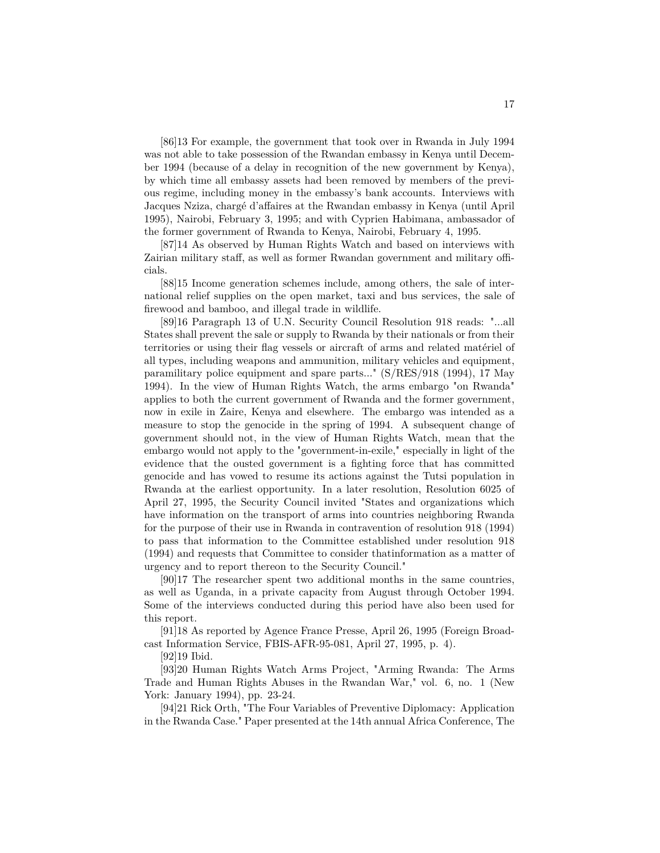[86]13 For example, the government that took over in Rwanda in July 1994 was not able to take possession of the Rwandan embassy in Kenya until December 1994 (because of a delay in recognition of the new government by Kenya), by which time all embassy assets had been removed by members of the previous regime, including money in the embassy's bank accounts. Interviews with Jacques Nziza, chargé d'affaires at the Rwandan embassy in Kenya (until April 1995), Nairobi, February 3, 1995; and with Cyprien Habimana, ambassador of the former government of Rwanda to Kenya, Nairobi, February 4, 1995.

[87]14 As observed by Human Rights Watch and based on interviews with Zairian military staff, as well as former Rwandan government and military officials.

[88]15 Income generation schemes include, among others, the sale of international relief supplies on the open market, taxi and bus services, the sale of firewood and bamboo, and illegal trade in wildlife.

[89]16 Paragraph 13 of U.N. Security Council Resolution 918 reads: "...all States shall prevent the sale or supply to Rwanda by their nationals or from their territories or using their flag vessels or aircraft of arms and related matériel of all types, including weapons and ammunition, military vehicles and equipment, paramilitary police equipment and spare parts..." (S/RES/918 (1994), 17 May 1994). In the view of Human Rights Watch, the arms embargo "on Rwanda" applies to both the current government of Rwanda and the former government, now in exile in Zaire, Kenya and elsewhere. The embargo was intended as a measure to stop the genocide in the spring of 1994. A subsequent change of government should not, in the view of Human Rights Watch, mean that the embargo would not apply to the "government-in-exile," especially in light of the evidence that the ousted government is a fighting force that has committed genocide and has vowed to resume its actions against the Tutsi population in Rwanda at the earliest opportunity. In a later resolution, Resolution 6025 of April 27, 1995, the Security Council invited "States and organizations which have information on the transport of arms into countries neighboring Rwanda for the purpose of their use in Rwanda in contravention of resolution 918 (1994) to pass that information to the Committee established under resolution 918 (1994) and requests that Committee to consider thatinformation as a matter of urgency and to report thereon to the Security Council."

[90]17 The researcher spent two additional months in the same countries, as well as Uganda, in a private capacity from August through October 1994. Some of the interviews conducted during this period have also been used for this report.

[91]18 As reported by Agence France Presse, April 26, 1995 (Foreign Broadcast Information Service, FBIS-AFR-95-081, April 27, 1995, p. 4).

[92]19 Ibid.

[93]20 Human Rights Watch Arms Project, "Arming Rwanda: The Arms Trade and Human Rights Abuses in the Rwandan War," vol. 6, no. 1 (New York: January 1994), pp. 23-24.

[94]21 Rick Orth, "The Four Variables of Preventive Diplomacy: Application in the Rwanda Case." Paper presented at the 14th annual Africa Conference, The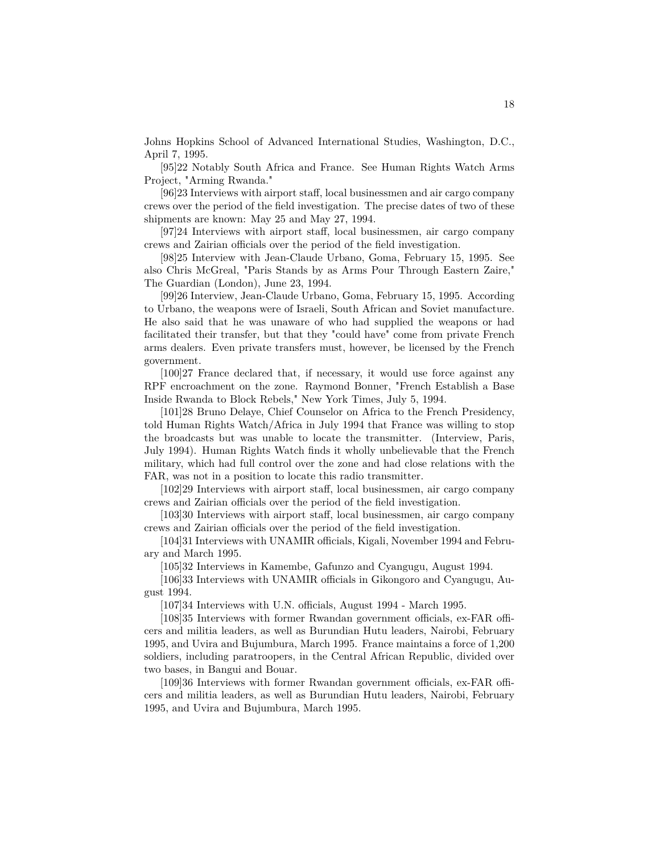Johns Hopkins School of Advanced International Studies, Washington, D.C., April 7, 1995.

[95]22 Notably South Africa and France. See Human Rights Watch Arms Project, "Arming Rwanda."

[96]23 Interviews with airport staff, local businessmen and air cargo company crews over the period of the field investigation. The precise dates of two of these shipments are known: May 25 and May 27, 1994.

[97]24 Interviews with airport staff, local businessmen, air cargo company crews and Zairian officials over the period of the field investigation.

[98]25 Interview with Jean-Claude Urbano, Goma, February 15, 1995. See also Chris McGreal, "Paris Stands by as Arms Pour Through Eastern Zaire," The Guardian (London), June 23, 1994.

[99]26 Interview, Jean-Claude Urbano, Goma, February 15, 1995. According to Urbano, the weapons were of Israeli, South African and Soviet manufacture. He also said that he was unaware of who had supplied the weapons or had facilitated their transfer, but that they "could have" come from private French arms dealers. Even private transfers must, however, be licensed by the French government.

[100]27 France declared that, if necessary, it would use force against any RPF encroachment on the zone. Raymond Bonner, "French Establish a Base Inside Rwanda to Block Rebels," New York Times, July 5, 1994.

[101]28 Bruno Delaye, Chief Counselor on Africa to the French Presidency, told Human Rights Watch/Africa in July 1994 that France was willing to stop the broadcasts but was unable to locate the transmitter. (Interview, Paris, July 1994). Human Rights Watch finds it wholly unbelievable that the French military, which had full control over the zone and had close relations with the FAR, was not in a position to locate this radio transmitter.

[102]29 Interviews with airport staff, local businessmen, air cargo company crews and Zairian officials over the period of the field investigation.

[103]30 Interviews with airport staff, local businessmen, air cargo company crews and Zairian officials over the period of the field investigation.

[104]31 Interviews with UNAMIR officials, Kigali, November 1994 and February and March 1995.

[105]32 Interviews in Kamembe, Gafunzo and Cyangugu, August 1994.

[106]33 Interviews with UNAMIR officials in Gikongoro and Cyangugu, August 1994.

[107]34 Interviews with U.N. officials, August 1994 - March 1995.

[108]35 Interviews with former Rwandan government officials, ex-FAR officers and militia leaders, as well as Burundian Hutu leaders, Nairobi, February 1995, and Uvira and Bujumbura, March 1995. France maintains a force of 1,200 soldiers, including paratroopers, in the Central African Republic, divided over two bases, in Bangui and Bouar.

[109]36 Interviews with former Rwandan government officials, ex-FAR officers and militia leaders, as well as Burundian Hutu leaders, Nairobi, February 1995, and Uvira and Bujumbura, March 1995.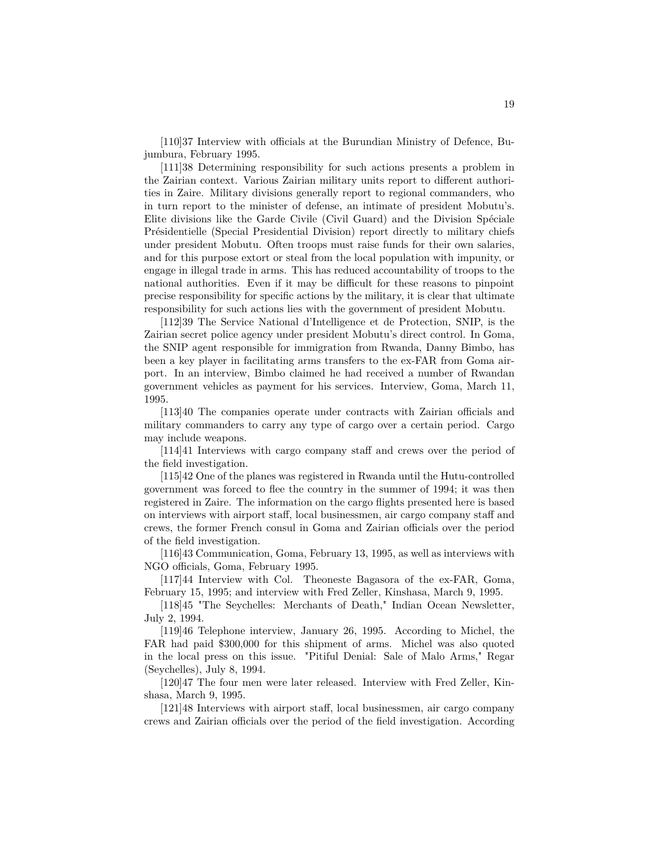[110]37 Interview with officials at the Burundian Ministry of Defence, Bujumbura, February 1995.

[111]38 Determining responsibility for such actions presents a problem in the Zairian context. Various Zairian military units report to different authorities in Zaire. Military divisions generally report to regional commanders, who in turn report to the minister of defense, an intimate of president Mobutu's. Elite divisions like the Garde Civile (Civil Guard) and the Division Spéciale Présidentielle (Special Presidential Division) report directly to military chiefs under president Mobutu. Often troops must raise funds for their own salaries, and for this purpose extort or steal from the local population with impunity, or engage in illegal trade in arms. This has reduced accountability of troops to the national authorities. Even if it may be difficult for these reasons to pinpoint precise responsibility for specific actions by the military, it is clear that ultimate responsibility for such actions lies with the government of president Mobutu.

[112]39 The Service National d'Intelligence et de Protection, SNIP, is the Zairian secret police agency under president Mobutu's direct control. In Goma, the SNIP agent responsible for immigration from Rwanda, Danny Bimbo, has been a key player in facilitating arms transfers to the ex-FAR from Goma airport. In an interview, Bimbo claimed he had received a number of Rwandan government vehicles as payment for his services. Interview, Goma, March 11, 1995.

[113]40 The companies operate under contracts with Zairian officials and military commanders to carry any type of cargo over a certain period. Cargo may include weapons.

[114]41 Interviews with cargo company staff and crews over the period of the field investigation.

[115]42 One of the planes was registered in Rwanda until the Hutu-controlled government was forced to flee the country in the summer of 1994; it was then registered in Zaire. The information on the cargo flights presented here is based on interviews with airport staff, local businessmen, air cargo company staff and crews, the former French consul in Goma and Zairian officials over the period of the field investigation.

[116]43 Communication, Goma, February 13, 1995, as well as interviews with NGO officials, Goma, February 1995.

[117]44 Interview with Col. Theoneste Bagasora of the ex-FAR, Goma, February 15, 1995; and interview with Fred Zeller, Kinshasa, March 9, 1995.

[118]45 "The Seychelles: Merchants of Death," Indian Ocean Newsletter, July 2, 1994.

[119]46 Telephone interview, January 26, 1995. According to Michel, the FAR had paid \$300,000 for this shipment of arms. Michel was also quoted in the local press on this issue. "Pitiful Denial: Sale of Malo Arms," Regar (Seychelles), July 8, 1994.

[120]47 The four men were later released. Interview with Fred Zeller, Kinshasa, March 9, 1995.

[121]48 Interviews with airport staff, local businessmen, air cargo company crews and Zairian officials over the period of the field investigation. According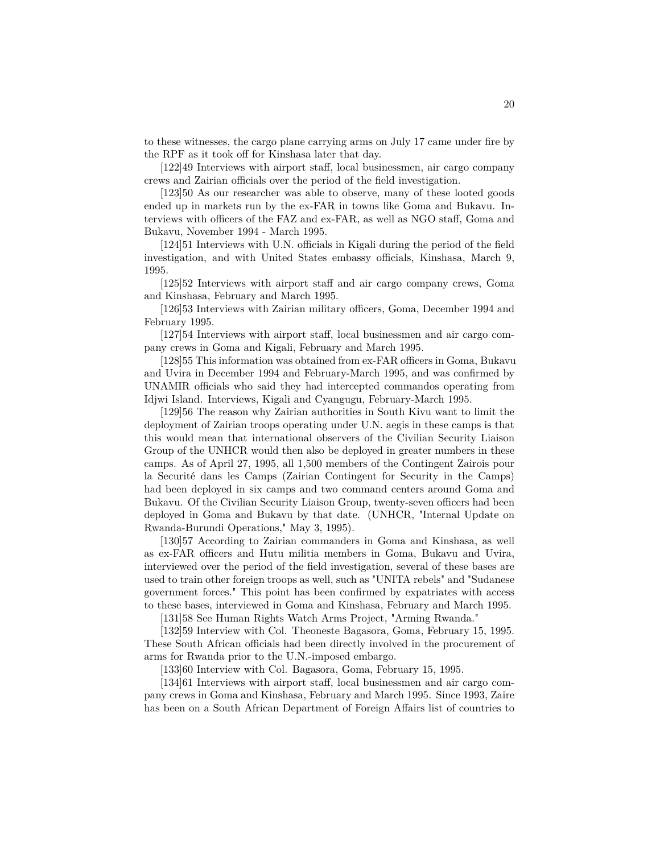to these witnesses, the cargo plane carrying arms on July 17 came under fire by the RPF as it took off for Kinshasa later that day.

[122]49 Interviews with airport staff, local businessmen, air cargo company crews and Zairian officials over the period of the field investigation.

[123]50 As our researcher was able to observe, many of these looted goods ended up in markets run by the ex-FAR in towns like Goma and Bukavu. Interviews with officers of the FAZ and ex-FAR, as well as NGO staff, Goma and Bukavu, November 1994 - March 1995.

[124]51 Interviews with U.N. officials in Kigali during the period of the field investigation, and with United States embassy officials, Kinshasa, March 9, 1995.

[125]52 Interviews with airport staff and air cargo company crews, Goma and Kinshasa, February and March 1995.

[126]53 Interviews with Zairian military officers, Goma, December 1994 and February 1995.

[127]54 Interviews with airport staff, local businessmen and air cargo company crews in Goma and Kigali, February and March 1995.

[128]55 This information was obtained from ex-FAR officers in Goma, Bukavu and Uvira in December 1994 and February-March 1995, and was confirmed by UNAMIR officials who said they had intercepted commandos operating from Idjwi Island. Interviews, Kigali and Cyangugu, February-March 1995.

[129]56 The reason why Zairian authorities in South Kivu want to limit the deployment of Zairian troops operating under U.N. aegis in these camps is that this would mean that international observers of the Civilian Security Liaison Group of the UNHCR would then also be deployed in greater numbers in these camps. As of April 27, 1995, all 1,500 members of the Contingent Zairois pour la Securité dans les Camps (Zairian Contingent for Security in the Camps) had been deployed in six camps and two command centers around Goma and Bukavu. Of the Civilian Security Liaison Group, twenty-seven officers had been deployed in Goma and Bukavu by that date. (UNHCR, "Internal Update on Rwanda-Burundi Operations," May 3, 1995).

[130]57 According to Zairian commanders in Goma and Kinshasa, as well as ex-FAR officers and Hutu militia members in Goma, Bukavu and Uvira, interviewed over the period of the field investigation, several of these bases are used to train other foreign troops as well, such as "UNITA rebels" and "Sudanese government forces." This point has been confirmed by expatriates with access to these bases, interviewed in Goma and Kinshasa, February and March 1995.

[131]58 See Human Rights Watch Arms Project, "Arming Rwanda."

[132]59 Interview with Col. Theoneste Bagasora, Goma, February 15, 1995. These South African officials had been directly involved in the procurement of arms for Rwanda prior to the U.N.-imposed embargo.

[133]60 Interview with Col. Bagasora, Goma, February 15, 1995.

[134]61 Interviews with airport staff, local businessmen and air cargo company crews in Goma and Kinshasa, February and March 1995. Since 1993, Zaire has been on a South African Department of Foreign Affairs list of countries to